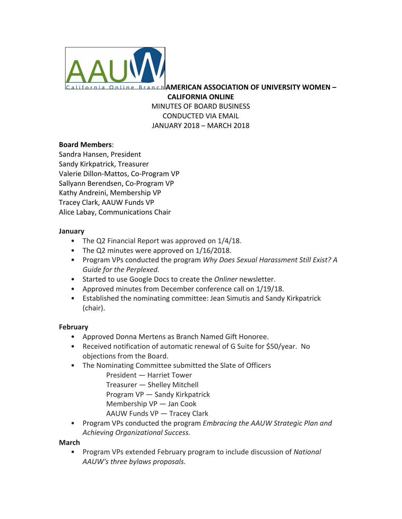

**AMERICAN ASSOCIATION OF UNIVERSITY WOMEN – CALIFORNIA ONLINE**

MINUTES OF BOARD BUSINESS CONDUCTED VIA EMAIL JANUARY 2018 - MARCH 2018

## **Board Members**:

Sandra Hansen, President Sandy Kirkpatrick, Treasurer Valerie Dillon-Mattos, Co-Program VP Sallyann Berendsen, Co-Program VP Kathy Andreini, Membership VP Tracey Clark, AAUW Funds VP Alice Labay, Communications Chair

## **January**

- The Q2 Financial Report was approved on  $1/4/18$ .
- The Q2 minutes were approved on  $1/16/2018$ .
- Program VPs conducted the program *Why Does Sexual Harassment Still Exist? A* Guide for the Perplexed.
- Started to use Google Docs to create the *Onliner* newsletter.
- Approved minutes from December conference call on 1/19/18.
- Established the nominating committee: Jean Simutis and Sandy Kirkpatrick (chair).

## **February**

- Approved Donna Mertens as Branch Named Gift Honoree.
- Received notification of automatic renewal of G Suite for \$50/year. No objections from the Board.
- The Nominating Committee submitted the Slate of Officers

President - Harriet Tower Treasurer — Shelley Mitchell Program VP - Sandy Kirkpatrick Membership  $VP$  — Jan Cook AAUW Funds VP — Tracey Clark

• Program VPs conducted the program *Embracing the AAUW Strategic Plan and Achieving Organizational Success.*

## **March**

• Program VPs extended February program to include discussion of *National* AAUW's three bylaws proposals.